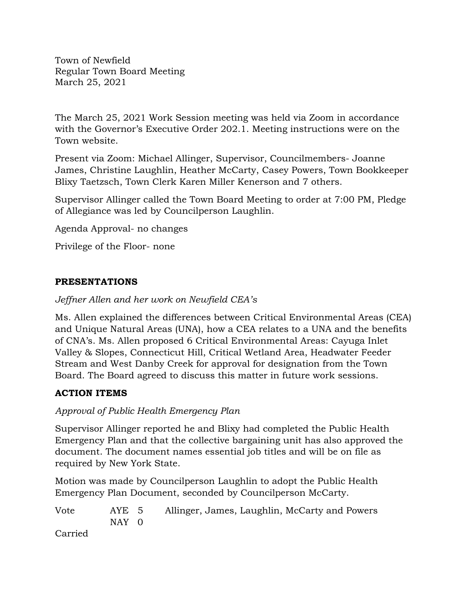Town of Newfield Regular Town Board Meeting March 25, 2021

The March 25, 2021 Work Session meeting was held via Zoom in accordance with the Governor's Executive Order 202.1. Meeting instructions were on the Town website.

Present via Zoom: Michael Allinger, Supervisor, Councilmembers- Joanne James, Christine Laughlin, Heather McCarty, Casey Powers, Town Bookkeeper Blixy Taetzsch, Town Clerk Karen Miller Kenerson and 7 others.

Supervisor Allinger called the Town Board Meeting to order at 7:00 PM, Pledge of Allegiance was led by Councilperson Laughlin.

Agenda Approval- no changes

Privilege of the Floor- none

### **PRESENTATIONS**

*Jeffner Allen and her work on Newfield CEA's*

Ms. Allen explained the differences between Critical Environmental Areas (CEA) and Unique Natural Areas (UNA), how a CEA relates to a UNA and the benefits of CNA's. Ms. Allen proposed 6 Critical Environmental Areas: Cayuga Inlet Valley & Slopes, Connecticut Hill, Critical Wetland Area, Headwater Feeder Stream and West Danby Creek for approval for designation from the Town Board. The Board agreed to discuss this matter in future work sessions.

### **ACTION ITEMS**

### *Approval of Public Health Emergency Plan*

Supervisor Allinger reported he and Blixy had completed the Public Health Emergency Plan and that the collective bargaining unit has also approved the document. The document names essential job titles and will be on file as required by New York State.

Motion was made by Councilperson Laughlin to adopt the Public Health Emergency Plan Document, seconded by Councilperson McCarty.

| Vote    | AYE 5 | Allinger, James, Laughlin, McCarty and Powers |
|---------|-------|-----------------------------------------------|
|         | NAY 0 |                                               |
| Carried |       |                                               |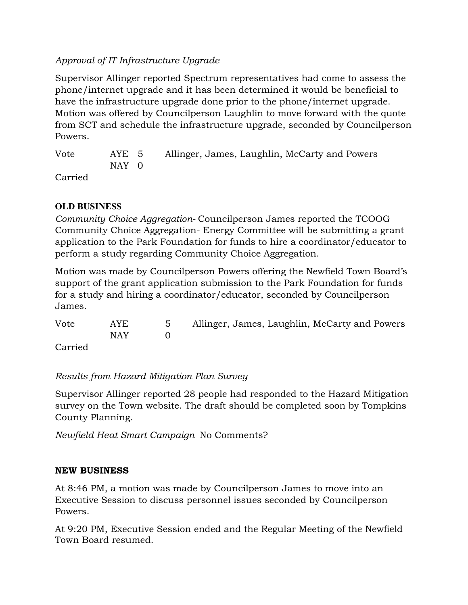# *Approval of IT Infrastructure Upgrade*

Supervisor Allinger reported Spectrum representatives had come to assess the phone/internet upgrade and it has been determined it would be beneficial to have the infrastructure upgrade done prior to the phone/internet upgrade. Motion was offered by Councilperson Laughlin to move forward with the quote from SCT and schedule the infrastructure upgrade, seconded by Councilperson Powers.

Vote AYE 5 Allinger, James, Laughlin, McCarty and Powers NAY 0

Carried

# **OLD BUSINESS**

*Community Choice Aggregation-* Councilperson James reported the TCOOG Community Choice Aggregation- Energy Committee will be submitting a grant application to the Park Foundation for funds to hire a coordinator/educator to perform a study regarding Community Choice Aggregation.

Motion was made by Councilperson Powers offering the Newfield Town Board's support of the grant application submission to the Park Foundation for funds for a study and hiring a coordinator/educator, seconded by Councilperson James.

| Vote    | AYE   | 5 Allinger, James, Laughlin, McCarty and Powers |
|---------|-------|-------------------------------------------------|
|         | NAY 1 |                                                 |
| Carried |       |                                                 |

*Results from Hazard Mitigation Plan Survey*

Supervisor Allinger reported 28 people had responded to the Hazard Mitigation survey on the Town website. The draft should be completed soon by Tompkins County Planning.

*Newfield Heat Smart Campaign* No Comments?

# **NEW BUSINESS**

At 8:46 PM, a motion was made by Councilperson James to move into an Executive Session to discuss personnel issues seconded by Councilperson Powers.

At 9:20 PM, Executive Session ended and the Regular Meeting of the Newfield Town Board resumed.